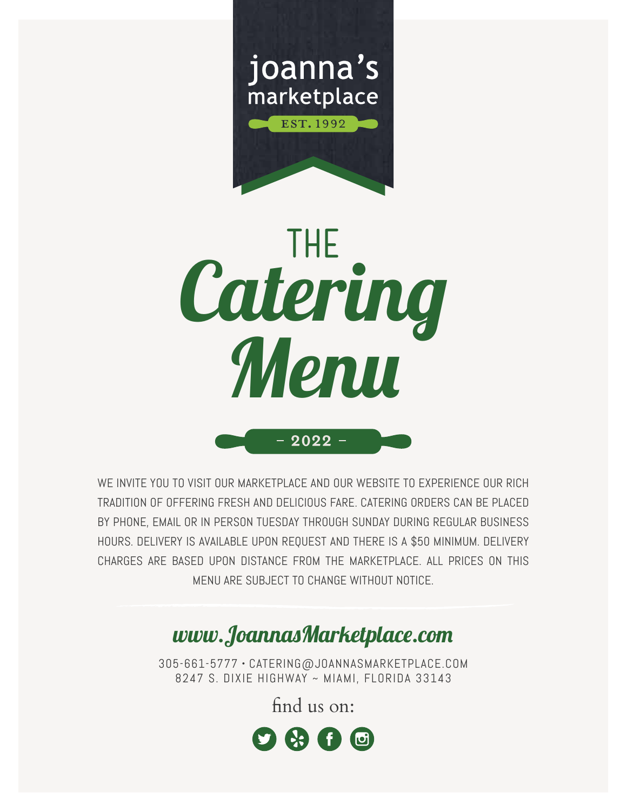



WE INVITE YOU TO VISIT OUR MARKETPLACE AND OUR WEBSITE TO EXPERIENCE OUR RICH TRADITION OF OFFERING FRESH AND DELICIOUS FARE. CATERING ORDERS CAN BE PLACED BY PHONE, EMAIL OR IN PERSON TUESDAY THROUGH SUNDAY DURING REGULAR BUSINESS HOURS. DELIVERY IS AVAILABLE UPON REQUEST AND THERE IS A \$50 MINIMUM. DELIVERY CHARGES ARE BASED UPON DISTANCE FROM THE MARKETPLACE. ALL PRICES ON THIS MENU ARE SUBJECT TO CHANGE WITHOUT NOTICE.

# www.JoannasMarketplace.com

305-661-5777 • CATERING@JOANNASMARKETPLACE.COM 8247 S. DIXIE HIGHWAY ~ MIAMI, FLORIDA 33143

find us on:

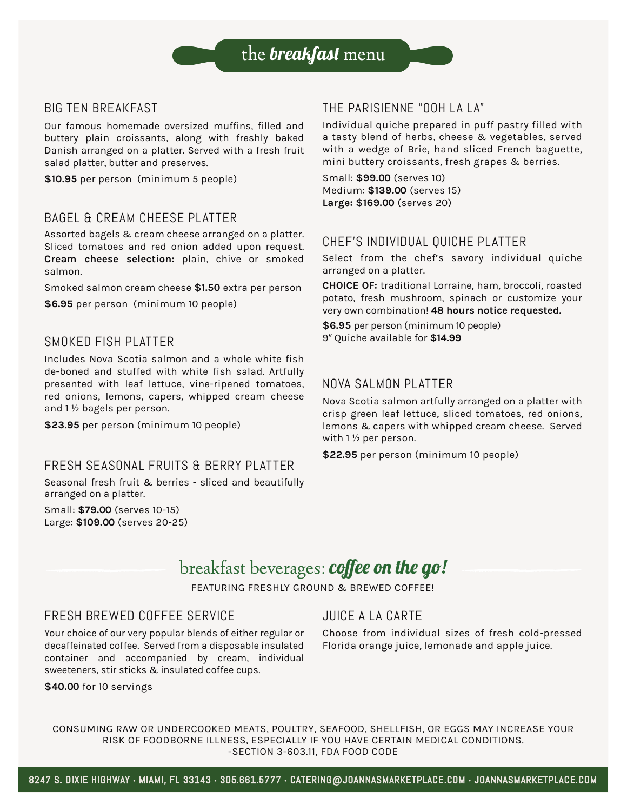#### BIG TEN BREAKFAST

Our famous homemade oversized muffins, filled and buttery plain croissants, along with freshly baked Danish arranged on a platter. Served with a fresh fruit salad platter, butter and preserves.

**\$10.95** per person (minimum 5 people)

#### BAGEL & CREAM CHEESE PLATTER

Assorted bagels & cream cheese arranged on a platter. Sliced tomatoes and red onion added upon request. **Cream cheese selection:** plain, chive or smoked salmon.

Smoked salmon cream cheese **\$1.50** extra per person

**\$6.95** per person (minimum 10 people)

#### SMOKED FISH PLATTER

Includes Nova Scotia salmon and a whole white fish de-boned and stuffed with white fish salad. Artfully presented with leaf lettuce, vine-ripened tomatoes, red onions, lemons, capers, whipped cream cheese and 1 ½ bagels per person.

**\$23.95** per person (minimum 10 people)

#### FRESH SEASONAL FRUITS & BERRY PLATTER

Seasonal fresh fruit & berries - sliced and beautifully arranged on a platter.

Small: **\$79.00** (serves 10-15) Large: **\$109.00** (serves 20-25)

### THE PARISIENNE "OOH LA LA"

Individual quiche prepared in puff pastry filled with a tasty blend of herbs, cheese & vegetables, served with a wedge of Brie, hand sliced French baguette, mini buttery croissants, fresh grapes & berries.

Small: **\$99.00** (serves 10) Medium: **\$139.00** (serves 15) **Large: \$169.00** (serves 20)

#### CHEF'S INDIVIDUAL QUICHE PLATTER

Select from the chef's savory individual quiche arranged on a platter.

**CHOICE OF:** traditional Lorraine, ham, broccoli, roasted potato, fresh mushroom, spinach or customize your very own combination! **48 hours notice requested.**

**\$6.95** per person (minimum 10 people) 9" Quiche available for **\$14.99**

#### NOVA SALMON PLATTER

Nova Scotia salmon artfully arranged on a platter with crisp green leaf lettuce, sliced tomatoes, red onions, lemons & capers with whipped cream cheese. Served with 1 ½ per person.

**\$22.95** per person (minimum 10 people)

# breakfast beverages: coffee on the go!

FEATURING FRESHLY GROUND & BREWED COFFEE!

### FRESH BREWED COFFEE SERVICE

Your choice of our very popular blends of either regular or decaffeinated coffee. Served from a disposable insulated container and accompanied by cream, individual sweeteners, stir sticks & insulated coffee cups.

#### **\$40.00** for 10 servings

## JUICE A LA CARTE

Choose from individual sizes of fresh cold-pressed Florida orange juice, lemonade and apple juice.

CONSUMING RAW OR UNDERCOOKED MEATS, POULTRY, SEAFOOD, SHELLFISH, OR EGGS MAY INCREASE YOUR RISK OF FOODBORNE ILLNESS, ESPECIALLY IF YOU HAVE CERTAIN MEDICAL CONDITIONS. -SECTION 3-603.11, FDA FOOD CODE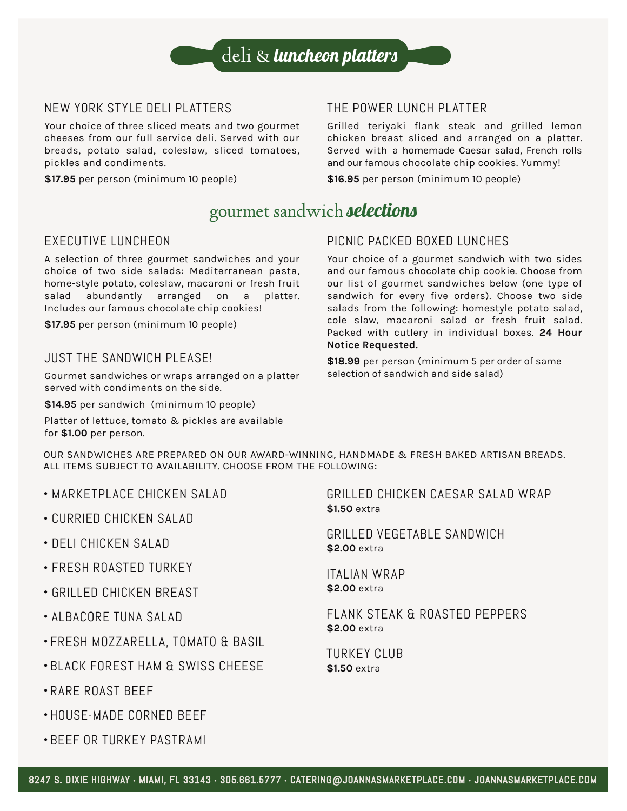

### NEW YORK STYLE DELI PLATTERS

Your choice of three sliced meats and two gourmet cheeses from our full service deli. Served with our breads, potato salad, coleslaw, sliced tomatoes, pickles and condiments.

**\$17.95** per person (minimum 10 people)

## THE POWER LUNCH PLATTER

Grilled teriyaki flank steak and grilled lemon chicken breast sliced and arranged on a platter. Served with a homemade Caesar salad, French rolls and our famous chocolate chip cookies. Yummy!

**\$16.95** per person (minimum 10 people)

## gourmet sandwich **selections**

#### EXECUTIVE LUNCHEON

A selection of three gourmet sandwiches and your choice of two side salads: Mediterranean pasta, home-style potato, coleslaw, macaroni or fresh fruit salad abundantly arranged on a platter. Includes our famous chocolate chip cookies!

**\$17.95** per person (minimum 10 people)

#### JUST THE SANDWICH PLEASE!

Gourmet sandwiches or wraps arranged on a platter served with condiments on the side.

**\$14.95** per sandwich (minimum 10 people)

Platter of lettuce, tomato & pickles are available for **\$1.00** per person.

### PICNIC PACKED BOXED LUNCHES

Your choice of a gourmet sandwich with two sides and our famous chocolate chip cookie. Choose from our list of gourmet sandwiches below (one type of sandwich for every five orders). Choose two side salads from the following: homestyle potato salad, cole slaw, macaroni salad or fresh fruit salad. Packed with cutlery in individual boxes. **24 Hour Notice Requested.**

**\$18.99** per person (minimum 5 per order of same selection of sandwich and side salad)

OUR SANDWICHES ARE PREPARED ON OUR AWARD-WINNING, HANDMADE & FRESH BAKED ARTISAN BREADS. ALL ITEMS SUBJECT TO AVAILABILITY. CHOOSE FROM THE FOLLOWING:

- MARKETPLACE CHICKEN SALAD
- CURRIED CHICKEN SALAD
- DELI CHICKEN SALAD
- FRESH ROASTED TURKEY
- GRILLED CHICKEN BREAST
- ALBACORE TUNA SALAD
- FRESH MOZZARELLA, TOMATO & BASIL
- BLACK FOREST HAM & SWISS CHEESE
- RARE ROAST BEEF
- HOUSE-MADE CORNED BEEF
- BEEF OR TURKEY PASTRAMI

GRILLED CHICKEN CAESAR SALAD WRAP **\$1.50** extra

GRILLED VEGETABLE SANDWICH **\$2.00** extra

ITALIAN WRAP **\$2.00** extra

FLANK STEAK & ROASTED PEPPERS **\$2.00** extra

TURKEY CLUB **\$1.50** extra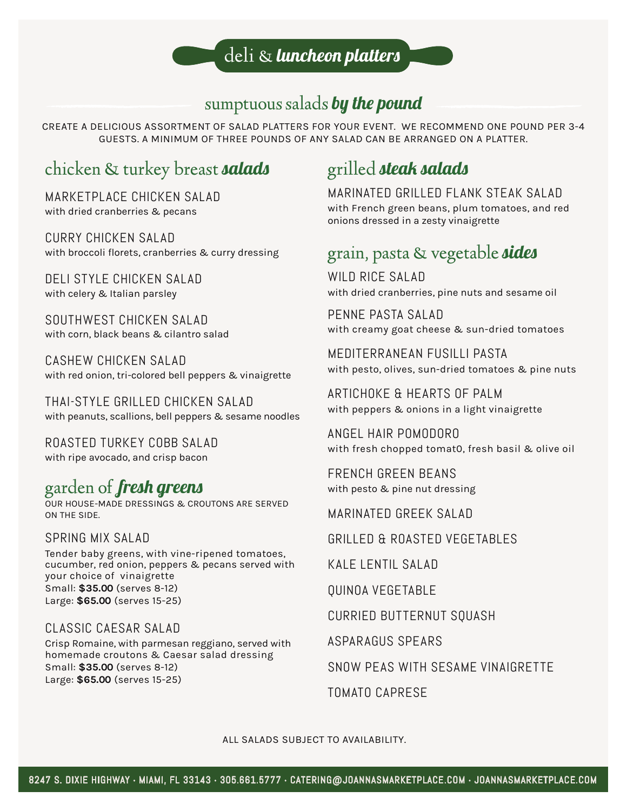## sumptuous salads by the pound

CREATE A DELICIOUS ASSORTMENT OF SALAD PLATTERS FOR YOUR EVENT. WE RECOMMEND ONE POUND PER 3-4 GUESTS. A MINIMUM OF THREE POUNDS OF ANY SALAD CAN BE ARRANGED ON A PLATTER.

# chicken & turkey breast **salads**

MARKETPLACE CHICKEN SALAD with dried cranberries & pecans

CURRY CHICKEN SALAD with broccoli florets, cranberries & curry dressing

DELI STYLE CHICKEN SALAD with celery & Italian parsley

SOUTHWEST CHICKEN SALAD with corn, black beans & cilantro salad

CASHEW CHICKEN SALAD with red onion, tri-colored bell peppers & vinaigrette

THAI-STYLE GRILLED CHICKEN SALAD with peanuts, scallions, bell peppers & sesame noodles

ROASTED TURKEY COBB SALAD with ripe avocado, and crisp bacon

# garden of fresh greens

OUR HOUSE-MADE DRESSINGS & CROUTONS ARE SERVED ON THE SIDE.

SPRING MIX SALAD Tender baby greens, with vine-ripened tomatoes, cucumber, red onion, peppers & pecans served with your choice of vinaigrette Small: **\$35.00** (serves 8-12) Large: **\$65.00** (serves 15-25)

## CLASSIC CAESAR SALAD

Crisp Romaine, with parmesan reggiano, served with homemade croutons & Caesar salad dressing Small: **\$35.00** (serves 8-12) Large: **\$65.00** (serves 15-25)

# grilled **steak salads**

MARINATED GRILLED FLANK STEAK SALAD with French green beans, plum tomatoes, and red onions dressed in a zesty vinaigrette

## grain, pasta & vegetable **sides**

WILD RICE SALAD with dried cranberries, pine nuts and sesame oil

PENNE PASTA SALAD with creamy goat cheese & sun-dried tomatoes

MEDITERRANEAN FUSILLI PASTA with pesto, olives, sun-dried tomatoes & pine nuts

ARTICHOKE & HEARTS OF PALM with peppers & onions in a light vinaigrette

ANGEL HAIR POMODORO with fresh chopped tomat0, fresh basil & olive oil

FRENCH GREEN BEANS with pesto & pine nut dressing

MARINATED GREEK SALAD

GRILLED & ROASTED VEGETABLES

KALE LENTIL SALAD

QUINOA VEGETABLE

CURRIED BUTTERNUT SQUASH

ASPARAGUS SPEARS

SNOW PEAS WITH SESAME VINAIGRETTE

TOMATO CAPRESE

ALL SALADS SUBJECT TO AVAILABILITY.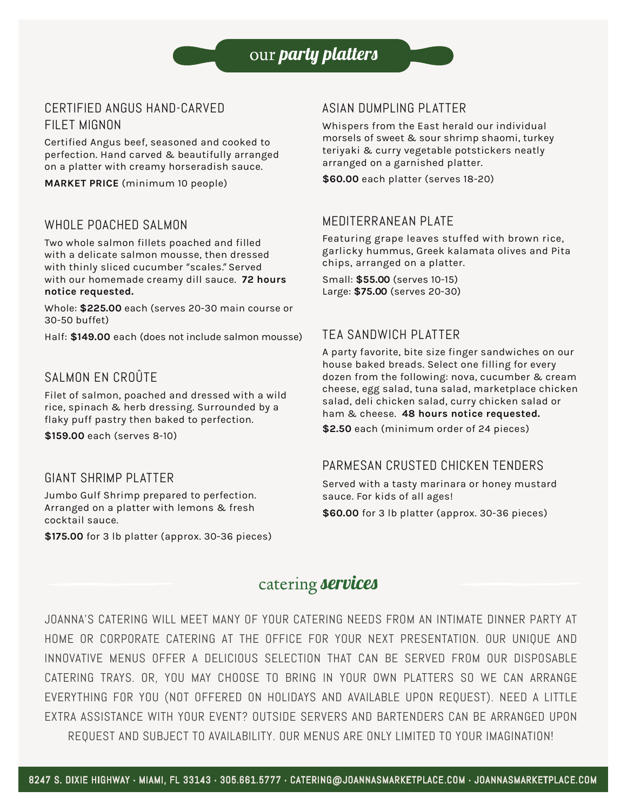our *party platters* 

## CERTIFIED ANGUS HAND-CARVED FILET MIGNON

Certified Angus beef, seasoned and cooked to perfection. Hand carved & beautifully arranged on a platter with creamy horseradish sauce.

**MARKET PRICE** (minimum 10 people)

### WHOLE POACHED SALMON

Two whole salmon fillets poached and filled with a delicate salmon mousse, then dressed with thinly sliced cucumber "scales." Served with our homemade creamy dill sauce. **72 hours notice requested.**

Whole: **\$225.00** each (serves 20-30 main course or 30-50 buffet)

Half: **\$149.00** each (does not include salmon mousse)

## SALMON EN CROÛTE

Filet of salmon, poached and dressed with a wild rice, spinach & herb dressing. Surrounded by a flaky puff pastry then baked to perfection.

**\$159.00** each (serves 8-10)

#### GIANT SHRIMP PLATTER

Jumbo Gulf Shrimp prepared to perfection. Arranged on a platter with lemons & fresh cocktail sauce.

**\$175.00** for 3 lb platter (approx. 30-36 pieces)

### ASIAN DUMPLING PLATTER

Whispers from the East herald our individual morsels of sweet & sour shrimp shaomi, turkey teriyaki & curry vegetable potstickers neatly arranged on a garnished platter.

**\$60.00** each platter (serves 18-20)

#### MEDITERRANEAN PLATE

Featuring grape leaves stuffed with brown rice, garlicky hummus, Greek kalamata olives and Pita chips, arranged on a platter.

Small: **\$55.00** (serves 10-15) Large: **\$75.00** (serves 20-30)

### TEA SANDWICH PLATTER

A party favorite, bite size finger sandwiches on our house baked breads. Select one filling for every dozen from the following: nova, cucumber & cream cheese, egg salad, tuna salad, marketplace chicken salad, deli chicken salad, curry chicken salad or ham & cheese. **48 hours notice requested.**

**\$2.50** each (minimum order of 24 pieces)

#### PARMESAN CRUSTED CHICKEN TENDERS

Served with a tasty marinara or honey mustard sauce. For kids of all ages! **\$60.00** for 3 lb platter (approx. 30-36 pieces)

## catering **services**

JOANNA'S CATERING WILL MEET MANY OF YOUR CATERING NEEDS FROM AN INTIMATE DINNER PARTY AT HOME OR CORPORATE CATERING AT THE OFFICE FOR YOUR NEXT PRESENTATION. OUR UNIQUE AND INNOVATIVE MENUS OFFER A DELICIOUS SELECTION THAT CAN BE SERVED FROM OUR DISPOSABLE CATERING TRAYS. OR, YOU MAY CHOOSE TO BRING IN YOUR OWN PLATTERS SO WE CAN ARRANGE EVERYTHING FOR YOU (NOT OFFERED ON HOLIDAYS AND AVAILABLE UPON REQUEST). NEED A LITTLE EXTRA ASSISTANCE WITH YOUR EVENT? OUTSIDE SERVERS AND BARTENDERS CAN BE ARRANGED UPON REQUEST AND SUBJECT TO AVAILABILITY. OUR MENUS ARE ONLY LIMITED TO YOUR IMAGINATION!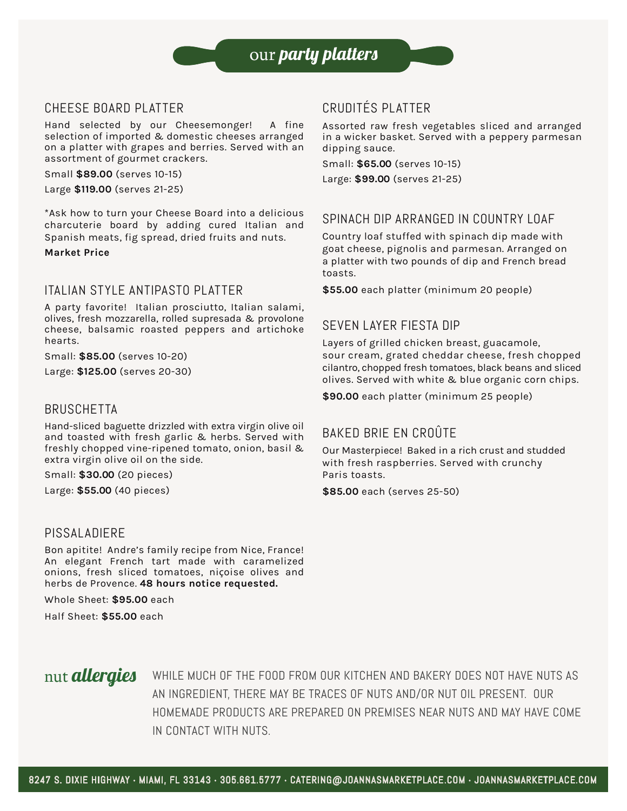

### CHEESE BOARD PLATTER

Hand selected by our Cheesemonger! A fine selection of imported & domestic cheeses arranged on a platter with grapes and berries. Served with an assortment of gourmet crackers.

Small **\$89.00** (serves 10-15)

Large **\$119.00** (serves 21-25)

\*Ask how to turn your Cheese Board into a delicious charcuterie board by adding cured Italian and Spanish meats, fig spread, dried fruits and nuts.

**Market Price** 

### ITALIAN STYLE ANTIPASTO PLATTER

A party favorite! Italian prosciutto, Italian salami, olives, fresh mozzarella, rolled supresada & provolone cheese, balsamic roasted peppers and artichoke hearts.

Small: **\$85.00** (serves 10-20)

Large: **\$125.00** (serves 20-30)

#### BRUSCHETTA

Hand-sliced baguette drizzled with extra virgin olive oil and toasted with fresh garlic & herbs. Served with freshly chopped vine-ripened tomato, onion, basil & extra virgin olive oil on the side.

Small: **\$30.00** (20 pieces)

Large: **\$55.00** (40 pieces)

#### PISSALADIERE

Bon apitite! Andre's family recipe from Nice, France! An elegant French tart made with caramelized onions, fresh sliced tomatoes, niçoise olives and herbs de Provence. **48 hours notice requested.**

Whole Sheet: **\$95.00** each

Half Sheet: **\$55.00** each

## CRUDITÉS PLATTER

Assorted raw fresh vegetables sliced and arranged in a wicker basket. Served with a peppery parmesan dipping sauce.

Small: **\$65.00** (serves 10-15)

Large: **\$99.00** (serves 21-25)

### SPINACH DIP ARRANGED IN COUNTRY LOAF

Country loaf stuffed with spinach dip made with goat cheese, pignolis and parmesan. Arranged on a platter with two pounds of dip and French bread toasts.

**\$55.00** each platter (minimum 20 people)

#### SEVEN LAYER FIESTA DIP

Layers of grilled chicken breast, guacamole, sour cream, grated cheddar cheese, fresh chopped cilantro, chopped fresh tomatoes, black beans and sliced olives. Served with white & blue organic corn chips.

**\$90.00** each platter (minimum 25 people)

## BAKED BRIE EN CROÛTE

Our Masterpiece! Baked in a rich crust and studded with fresh raspberries. Served with crunchy Paris toasts.

**\$85.00** each (serves 25-50)

## nut **allergies**

WHILE MUCH OF THE FOOD FROM OUR KITCHEN AND BAKERY DOES NOT HAVE NUTS AS AN INGREDIENT, THERE MAY BE TRACES OF NUTS AND/OR NUT OIL PRESENT. OUR HOMEMADE PRODUCTS ARE PREPARED ON PREMISES NEAR NUTS AND MAY HAVE COME IN CONTACT WITH NUTS.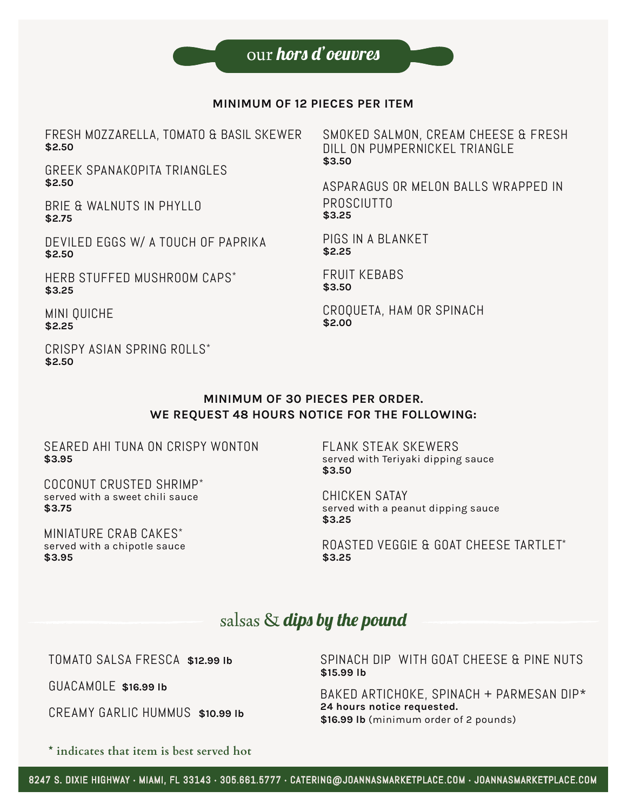#### **MINIMUM OF 12 PIECES PER ITEM**

FRESH MOZZARELLA, TOMATO & BASIL SKEWER **\$2.50**

GREEK SPANAKOPITA TRIANGLES **\$2.50**

BRIE & WALNUTS IN PHYLLO **\$2.75**

DEVILED EGGS W/ A TOUCH OF PAPRIKA **\$2.50**

HERB STUFFED MUSHROOM CAPS\* **\$3.25**

MINI QUICHE **\$2.25**

CRISPY ASIAN SPRING ROLLS\* **\$2.50**

SMOKED SALMON, CREAM CHEESE & FRESH DILL ON PUMPERNICKEL TRIANGLE **\$3.50**

ASPARAGUS OR MELON BALLS WRAPPED IN PROSCIUTTO **\$3.25**

PIGS IN A BLANKET **\$2.25**

FRUIT KEBABS **\$3.50**

CROQUETA, HAM OR SPINACH **\$2.00**

#### **MINIMUM OF 30 PIECES PER ORDER. WE REQUEST 48 HOURS NOTICE FOR THE FOLLOWING:**

SEARED AHI TUNA ON CRISPY WONTON **\$3.95** 

COCONUT CRUSTED SHRIMP\* served with a sweet chili sauce **\$3.75**

MINIATURE CRAB CAKES\* served with a chipotle sauce **\$3.95** 

FLANK STEAK SKEWERS served with Teriyaki dipping sauce **\$3.50**

CHICKEN SATAY served with a peanut dipping sauce **\$3.25** 

ROASTED VEGGIE & GOAT CHEESE TARTLET\* **\$3.25**

## salsas  $\&$  dips by the pound

TOMATO SALSA FRESCA **\$12.99 lb** 

GUACAMOLE **\$16.99 lb** 

CREAMY GARLIC HUMMUS **\$10.99 lb**

SPINACH DIP WITH GOAT CHEESE & PINE NUTS **\$15.99 lb** 

BAKED ARTICHOKE, SPINACH + PARMESAN DIP\* **24 hours notice requested. \$16.99 lb** (minimum order of 2 pounds)

**\* indicates that item is best served hot**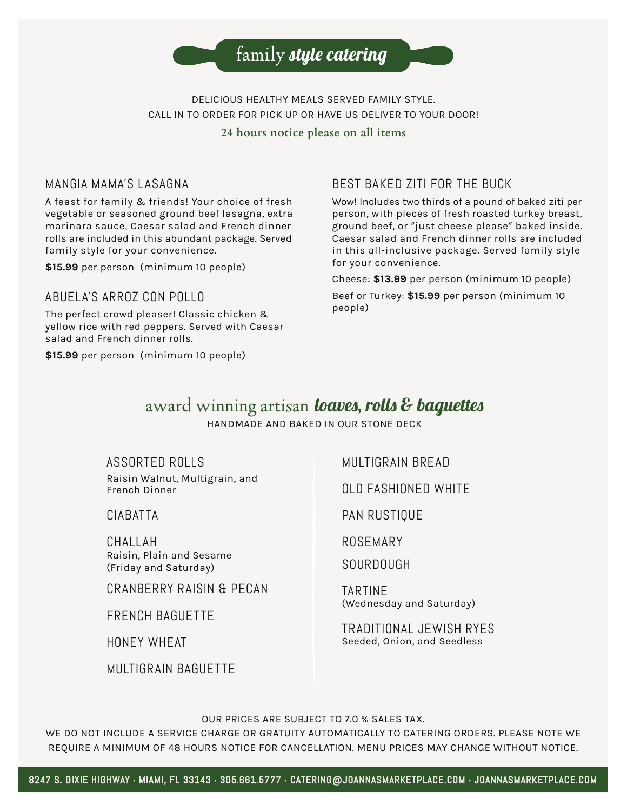

DELICIOUS HEALTHY MEALS SERVED FAMILY STYLE. CALL IN TO ORDER FOR PICK UP OR HAVE US DELIVER TO YOUR DOOR! **24 hours notice please on all items**

### MANGIA MAMA'S LASAGNA

A feast for family & friends! Your choice of fresh vegetable or seasoned ground beef lasagna, extra marinara sauce, Caesar salad and French dinner rolls are included in this abundant package. Served family style for your convenience.

**\$15.99** per person (minimum 10 people)

#### ABUELA'S ARROZ CON POLLO

The perfect crowd pleaser! Classic chicken & yellow rice with red peppers. Served with Caesar salad and French dinner rolls.

**\$15.99** per person (minimum 10 people)

### BEST BAKED ZITI FOR THE BUCK

Wow! Includes two thirds of a pound of baked ziti per person, with pieces of fresh roasted turkey breast, ground beef, or "just cheese please" baked inside. Caesar salad and French dinner rolls are included in this all-inclusive package. Served family style for your convenience.

Cheese: **\$13.99** per person (minimum 10 people)

Beef or Turkey: **\$15.99** per person (minimum 10 people)

## award winning artisan **loaves, rolls & baquettes**

HANDMADE AND BAKED IN OUR STONE DECK

ASSORTED ROLLS

Raisin Walnut, Multigrain, and French Dinner

CIABATTA

CHALLAH Raisin, Plain and Sesame (Friday and Saturday)

CRANBERRY RAISIN & PECAN

FRENCH BAGUETTE

HONEY WHEAT

MULTIGRAIN BAGUETTE

MULTIGRAIN BREAD

OLD FASHIONED WHITE

PAN RUSTIQUE

ROSEMARY

SOURDOUGH

TARTINE (Wednesday and Saturday)

TRADITIONAL JEWISH RYES Seeded, Onion, and Seedless

OUR PRICES ARE SUBJECT TO 7.0 % SALES TAX.

WE DO NOT INCLUDE A SERVICE CHARGE OR GRATUITY AUTOMATICALLY TO CATERING ORDERS. PLEASE NOTE WE REQUIRE A MINIMUM OF 48 HOURS NOTICE FOR CANCELLATION. MENU PRICES MAY CHANGE WITHOUT NOTICE.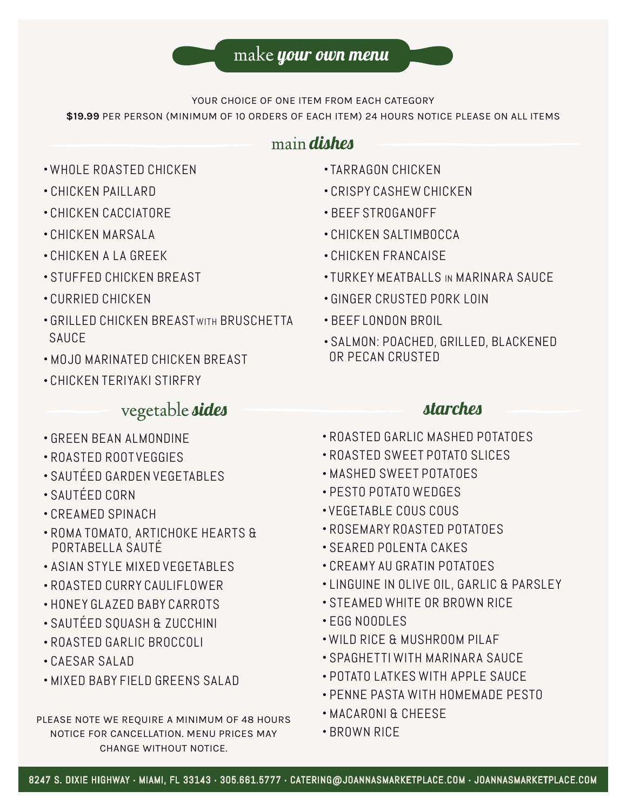YOUR CHOICE OF ONE ITEM FROM EACH CATEGORY

**\$19.99** PER PERSON (MINIMUM OF 10 ORDERS OF EACH ITEM) 24 HOURS NOTICE PLEASE ON ALL ITEMS

## main **dishes**

- WHOLE ROASTED CHICKEN
- CHICKEN PAILLARD
- CHICKEN CACCIATORE
- CHICKEN MARSALA
- CHICKEN A LA GREEK
- STUFFED CHICKEN BREAST
- CURRIED CHICKEN
- GRILLED CHICKEN BREAST WITH BRUSCHETTA SAUCE
- MOJO MARINATED CHICKEN BREAST
- CHICKEN TERIYAKI STIRFRY

## vegetable **sides**

- GREEN BEAN ALMONDINE
- ROASTED ROOT VEGGIES
- SAUTÉED GARDEN VEGETABLES
- SAUTÉED CORN
- CREAMED SPINACH
- ROMA TOMATO, ARTICHOKE HEARTS & PORTABELLA SAUTÉ
- ASIAN STYLE MIXED VEGETABLES
- ROASTED CURRY CAULIFLOWER
- HONEY GLAZED BABY CARROTS
- SAUTÉED SQUASH & ZUCCHINI
- ROASTED GARLIC BROCCOLI
- CAESAR SALAD
- MIXED BABY FIELD GREENS SALAD

### PLEASE NOTE WE REQUIRE A MINIMUM OF 48 HOURS NOTICE FOR CANCELLATION. MENU PRICES MAY CHANGE WITHOUT NOTICE.

- TARRAGON CHICKEN
- CRISPY CASHEW CHICKEN
- BEEF STROGANOFF
- CHICKEN SALTIMBOCCA
- CHICKEN FRANCAISE
- TURKEY MEATBALLS IN MARINARA SAUCE
- GINGER CRUSTED PORK LOIN
- BEEF LONDON BROIL
- SALMON: POACHED, GRILLED, BLACKENED OR PECAN CRUSTED

## **starches**

- ROASTED GARLIC MASHED POTATOES
- ROASTED SWEET POTATO SLICES
- MASHED SWEET POTATOES
- PESTO POTATO WEDGES
- VEGETABLE COUS COUS
- ROSEMARY ROASTED POTATOES
- SEARED POLENTA CAKES
- CREAMY AU GRATIN POTATOES
- LINGUINE IN OLIVE OIL, GARLIC & PARSLEY
- STEAMED WHITE OR BROWN RICE
- EGG NOODLES
- WILD RICE & MUSHROOM PILAF
- SPAGHETTI WITH MARINARA SAUCE
- POTATO LATKES WITH APPLE SAUCE
- PENNE PASTA WITH HOMEMADE PESTO
- MACARONI & CHEESE
- BROWN RICE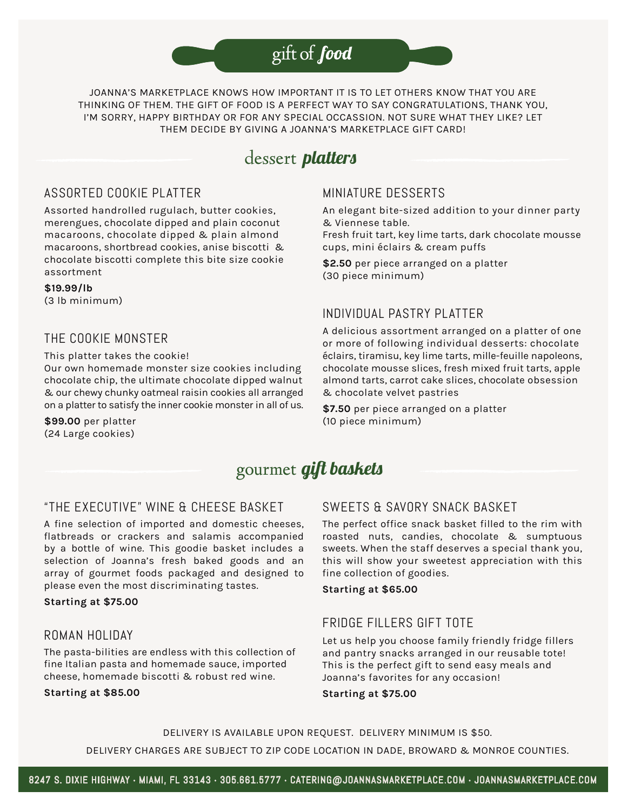# gift of food

JOANNA'S MARKETPLACE KNOWS HOW IMPORTANT IT IS TO LET OTHERS KNOW THAT YOU ARE THINKING OF THEM. THE GIFT OF FOOD IS A PERFECT WAY TO SAY CONGRATULATIONS, THANK YOU, I'M SORRY, HAPPY BIRTHDAY OR FOR ANY SPECIAL OCCASSION. NOT SURE WHAT THEY LIKE? LET THEM DECIDE BY GIVING A JOANNA'S MARKETPLACE GIFT CARD!

## dessertplatters

## ASSORTED COOKIE PLATTER

Assorted handrolled rugulach, butter cookies, merengues, chocolate dipped and plain coconut macaroons, chocolate dipped & plain almond macaroons, shortbread cookies, anise biscotti & chocolate biscotti complete this bite size cookie assortment

**\$19.99/lb** (3 lb minimum)

## THE COOKIE MONSTER

This platter takes the cookie! Our own homemade monster size cookies including chocolate chip, the ultimate chocolate dipped walnut & our chewy chunky oatmeal raisin cookies all arranged on a platter to satisfy the inner cookie monster in all of us.

**\$99.00** per platter (24 Large cookies)

## MINIATURE DESSERTS

An elegant bite-sized addition to your dinner party & Viennese table.

Fresh fruit tart, key lime tarts, dark chocolate mousse cups, mini éclairs & cream puffs

**\$2.50** per piece arranged on a platter (30 piece minimum)

## INDIVIDUAL PASTRY PLATTER

A delicious assortment arranged on a platter of one or more of following individual desserts: chocolate éclairs, tiramisu, key lime tarts, mille-feuille napoleons, chocolate mousse slices, fresh mixed fruit tarts, apple almond tarts, carrot cake slices, chocolate obsession & chocolate velvet pastries

**\$7.50** per piece arranged on a platter (10 piece minimum)

## gourmet *gift baskets*

### "THE EXECUTIVE" WINE & CHEESE BASKET

A fine selection of imported and domestic cheeses, flatbreads or crackers and salamis accompanied by a bottle of wine. This goodie basket includes a selection of Joanna's fresh baked goods and an array of gourmet foods packaged and designed to please even the most discriminating tastes.

**Starting at \$75.00**

### ROMAN HOLIDAY

The pasta-bilities are endless with this collection of fine Italian pasta and homemade sauce, imported cheese, homemade biscotti & robust red wine.

**Starting at \$85.00**

## SWEETS & SAVORY SNACK BASKET

The perfect office snack basket filled to the rim with roasted nuts, candies, chocolate & sumptuous sweets. When the staff deserves a special thank you, this will show your sweetest appreciation with this fine collection of goodies.

#### **Starting at \$65.00**

## FRIDGE FILLERS GIFT TOTE

Let us help you choose family friendly fridge fillers and pantry snacks arranged in our reusable tote! This is the perfect gift to send easy meals and Joanna's favorites for any occasion!

**Starting at \$75.00**

DELIVERY IS AVAILABLE UPON REQUEST. DELIVERY MINIMUM IS \$50. DELIVERY CHARGES ARE SUBJECT TO ZIP CODE LOCATION IN DADE, BROWARD & MONROE COUNTIES.